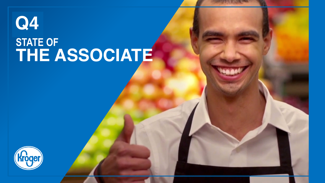# **Q4**

## **STATE OF THE ASSOCIATE**

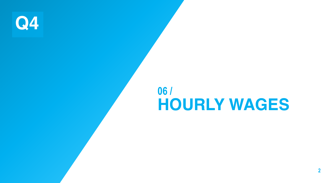**Q4**

## **06 / HOURLY WAGES**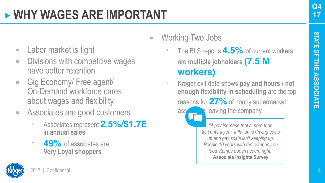- **Q4**
- **STATE STATE OF**  $\frac{Q}{L}$ 盂 **THE ASSOCIATE ASSOCIAT** m

**E** Working Two Jobs

- **E** Labor market is tight
- **E** Divisions with competitive wages have better retention
- Gig Economy/ Free agent/ On-Demand workforce cares about wages and flexibility
- Associates are good customers
	- Associates represent **2.5%/\$1.7B**  in **annual sales**
	- □ 49<sup>%</sup> of associates are **Very Loyal shoppers**



**enough flexibility in scheduling** are the top

**workers)**

reasons for **27%** of hourly supermarket  $\overline{a}$  associates leaving the company

▫ The BLS reports **4.5%** of current workers

are **multiple jobholders (7.5 M** 

▫ Kroger exit data shows **pay and hours / not** 

*"A pay increase that's more than 25 cents a year, inflation is driving costs up and pay scale isn't keeping up. People 10 years with the company on food stamps doesn't seem right."* **Associate Insights Survey**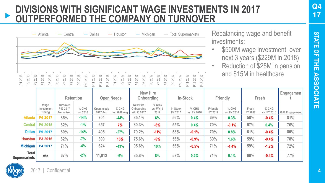## **DIVISIONS WITH SIGNIFICANT WAGE INVESTMENTS IN 2017 OUTPERFORMED THE COMPANY ON TURNOVER**



Rebalancing wage and benefit investments:

- \$500M wage investment over next 3 years (\$229M in 2018)
- Reduction of \$25M in pension and \$15M in healthcare

|                              |                              | <b>Retention</b>                   |                     |                        | <b>Open Needs</b>     | New Hire                             | Onboarding                  |                     | In-Stock               |                     | Friendly             |                  | Fresh                  | Engagemen       |
|------------------------------|------------------------------|------------------------------------|---------------------|------------------------|-----------------------|--------------------------------------|-----------------------------|---------------------|------------------------|---------------------|----------------------|------------------|------------------------|-----------------|
|                              | Wage<br>Investment<br>Timing | Turnover<br>P13 2017<br>Annualized | $%$ CHG<br>vs. 2016 | Open needs<br>2017 Avg | % CHG<br>vs. 2016 Avg | New Hire<br>Onboarding<br>Wk 53 2017 | $%$ CHG<br>vs. Wk13<br>2017 | In-Stock<br>FY 2017 | $%$ CHG<br>vs. FY 2016 | Friendly<br>FY 2017 | % CHG<br>vs. FY 2016 | Fresh<br>FY 2017 | $%$ CHG<br>vs. FY 2016 | 2017 Engagement |
| <b>Atlanta</b>               | P6 2017                      | 85%                                | $-14%$              | 704                    | $-44%$                | 85.1%                                | 6%                          | 56%                 | 0.4%                   | 69%                 | 0.3%                 | 58%              | $-0.4%$                | 81%             |
|                              | Central P9 2015              | 82%                                | $-1%$               | 657                    | 7%                    | 80.3%                                | $-6%$                       | 55%                 | 0.4%                   | 70%                 | $-0.1%$              | 57%              | 0.4%                   | 76%             |
| Dallas I                     | P9 2017                      | 80%                                | $-14%$              | 405                    | $-27%$                | 79.2%                                | $-11%$                      | 58%                 | $-0.1%$                | 70%                 | 0.8%                 | 61%              | $-0.4%$                | 80%             |
| <b>Houston</b>               | P3 2016                      | 82%                                | $-7%$               | 399                    | 16%                   | 75.6%                                | $-9%$                       | 56%                 | $-0.9%$                | 69%                 | 1.6%                 | 59%              | $-0.4%$                | 78%             |
| <b>Michigan</b>              | P4 2017                      | 71%                                | $-4%$               | 624                    | $-43%$                | 95.6%                                | 10%                         | 56%                 | $-0.5%$                | 71%                 | $-1.4%$              | 59%              | $-1.2%$                | 72%             |
| <b>Total</b><br>Supermarkets | n/a                          | 67%                                | $-2%$               | 11,012                 | -6%                   | 85.8%                                | 8%                          | 57%                 | 0.2%                   | 71%                 | 0.1%                 | 60%              | $-0.4%$                | 77%             |

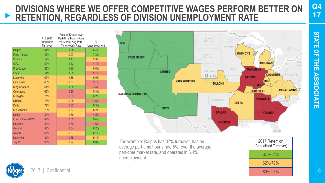### **DIVISIONS WHERE WE OFFER COMPETITIVE WAGES PERFORM BETTER ON RETENTION, REGARDLESS OF DIVISION UNEMPLOYMENT RATE**

|                     | P13 2017<br>Annualized<br>Turnover | Ratio of Kroger Avg<br>Part-Time Hourly Rate<br>vs. Market Avg Part-<br>Time Hourly Rate | $\frac{0}{0}$<br>Unemployment |
|---------------------|------------------------------------|------------------------------------------------------------------------------------------|-------------------------------|
| Ralphs              | 37%                                | 1.05                                                                                     | 6.4%                          |
| Food 4 Less         | 47%                                | 0.97                                                                                     | 7.8%                          |
| Smith's             | 52%                                | 1.17                                                                                     | 5.3%                          |
| <b>OFC</b>          | 52%                                | 1.12                                                                                     | 4.7%                          |
| <b>Fred Meyer</b>   | 52%                                | 1.10                                                                                     | 5.6%                          |
| Fry's               | 54%                                | 1.05                                                                                     | 5.1%                          |
| Louisville          | 62%                                | 0.88                                                                                     | 6.0%                          |
| Cincinnati          | 63%                                | 0.87                                                                                     | 5.1%                          |
| <b>King Soopers</b> | 64%                                | 1.05                                                                                     | 4.5%                          |
| Columbus            | 66%                                | 0.80                                                                                     | 5.3%                          |
| Michigan            | 71%                                | 0.83                                                                                     | 6.2%                          |
| Dillon's            | 76%                                | 0.95                                                                                     | 4.6%                          |
| <b>Delta</b>        | 79%                                | 0.82                                                                                     | 6.3%                          |
| Mid-Atlantic        | 79%                                | 0.87                                                                                     | 5.2%                          |
| <b>Dallas</b>       | 80%                                | 0.89                                                                                     | 4.5%                          |
| Food 4 Less (MW)    | 82%                                | 0.85                                                                                     | 9.4%                          |
| <b>Houston</b>      | 82%                                | 0.80                                                                                     | 4.6%                          |
| Central             | 82%                                | 0.84                                                                                     | 6.2%                          |
| Atlanta             | 85%                                | 0.87                                                                                     | 6.1%                          |
| <b>Nashville</b>    | 87%                                | 0.85                                                                                     | 5.4%                          |
| Jay C               | 93%                                | 0.94                                                                                     | 6.8%                          |



For example: Ralphs has 37% turnover, has an average part-time hourly rate 5% over the average part-time market rate, and operates in 6.4% unemployment.



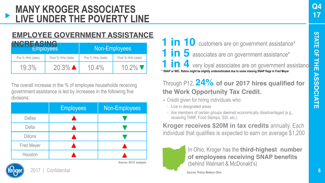## **MANY KROGER ASSOCIATES LIVE UNDER THE POVERTY LINE**

### **EMPLOYEE GOVERNMENT ASSISTANCE**

| <b>INCREASING</b> | <b>Employees</b>     | Non-Employees    |                   |  |  |  |
|-------------------|----------------------|------------------|-------------------|--|--|--|
| Pre % HHs (date)  | Post % HHs (date)    | Pre % HHs (date) | Post % HHs (date) |  |  |  |
| 19.3%             | $20.3\%$ $\triangle$ | $10.4\%$         | $10.2\%$          |  |  |  |

The overall increase in the % of employee households receiving government assistance is led by increases in the following five divisions:

|                | <b>Employees</b> | Non-Employees |
|----------------|------------------|---------------|
| Dallas         |                  |               |
| Delta          |                  |               |
| <b>Dillons</b> |                  |               |
| Fred Meyer     |                  |               |
| Houston        |                  |               |

2017 | Confidential

**\* SNAP or WIC. Ratios might be slightly underestimated due to some missing SNAP flags in Fred Meyer** 1 in 10 customers are on government assistance\* **1 in 5** associates are on government assistance\* **1 in 4** very loyal associates are on government assistance<sup>\*</sup>

### Through P12, **24% of our 2017 hires qualified for the Work Opportunity Tax Credit.**

- $\blacksquare$  Credit given for hiring individuals who:
	- Live in designated areas
	- Are members of certain groups deemed economically disadvantaged (e.g., receiving TANF, Food Stamps, SSI, etc.)

**Kroger receives \$20M in tax credits** annually. Each individual that qualifies is expected to earn on average \$1,200



**Source: 84.51 analysis**

In Ohio, Kroger has the **third-highest number of employees receiving SNAP benefits** (behind Walmart & McDonald's)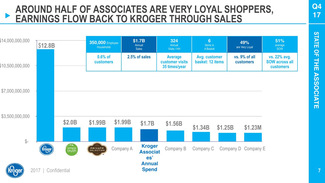### **AROUND HALF OF ASSOCIATES ARE VERY LOYAL SHOPPERS, EARNINGS FLOW BACK TO KROGER THROUGH SALES**



**7**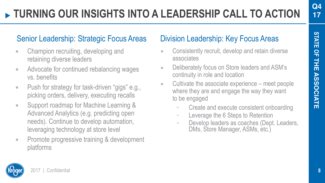mi

## **TURNING OUR INSIGHTS INTO A LEADERSHIP CALL TO ACTION**

## Senior Leadership: Strategic Focus Areas Division Leadership: Key Focus Areas

- Champion recruiting, developing and retaining diverse leaders
- Advocate for continued rebalancing wages vs. benefits
- Push for strategy for task-driven "gigs" e.g., picking orders, delivery, executing recalls
- Support roadmap for Machine Learning & Advanced Analytics (e.g. predicting open needs). Continue to develop automation, leveraging technology at store level
- **EXECUTE:** Promote progressive training & development platforms

- **EXECONS** Consistently recruit, develop and retain diverse associates
- Deliberately focus on Store leaders and ASM's continuity in role and location
- $\blacksquare$  Cultivate the associate experience meet people where they are and engage the way they want to be engaged
	- Create and execute consistent onboarding
	- Leverage the 6 Steps to Retention
	- □ Develop leaders as coaches (Dept. Leaders, DMs, Store Manager, ASMs, etc.)

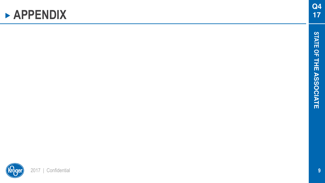## **APPENDIX**

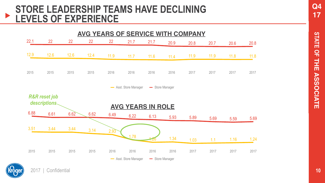#### **STORE LEADERSHIP TEAMS HAVE DECLINING**   $\blacktriangleright$ **LEVELS OF EXPERIENCE**





**Q4 17**

**10**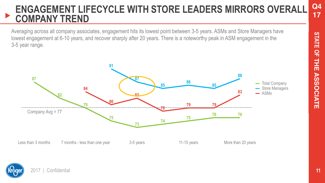#### **Q4 17 ENGAGEMENT LIFECYCLE WITH STORE LEADERS MIRRORS OVERALL COMPANY TREND**

lowest engagement at 6-10 years, and recover sharply after 20 years. There is a noteworthy peak in ASM engagement in the Averaging across all company associates, engagement hits its lowest point between 3-5 years. ASMs and Store Managers have 3-5 year range.



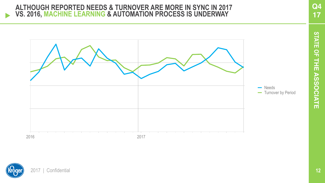#### **ALTHOUGH REPORTED NEEDS & TURNOVER ARE MORE IN SYNC IN 2017 VS. 2016, MACHINE LEARNING & AUTOMATION PROCESS IS UNDERWAY**



**Q4 17**



 $\blacktriangleright$